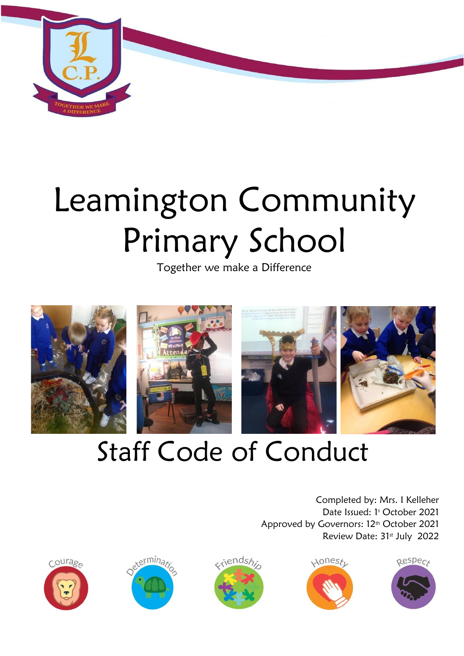

# Leamington Community Primary School

Together we make a Difference



## Staff Code of Conduct

Completed by: Mrs. I Kelleher Date Issued: 1<sup>s</sup> October 2021 Approved by Governors: 12<sup>th</sup> October 2021 Review Date: 31st July 2022









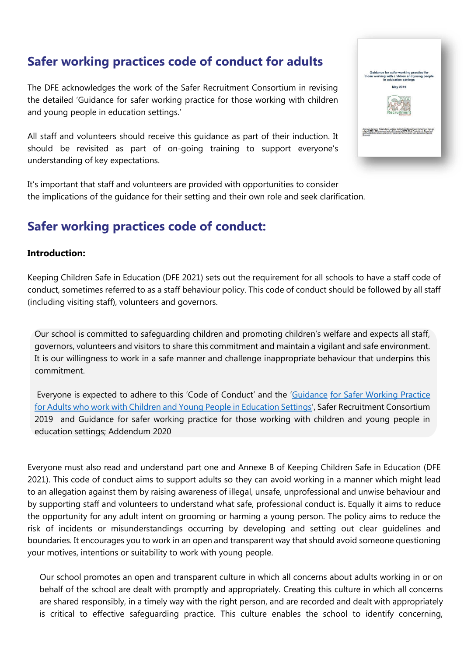## **Safer working practices code of conduct for adults**

The DFE acknowledges the work of the Safer Recruitment Consortium in revising the detailed 'Guidance for safer working practice for those working with children and young people in education settings.'

All staff and volunteers should receive this guidance as part of their induction. It should be revisited as part of on-going training to support everyone's understanding of key expectations.

It's important that staff and volunteers are provided with opportunities to consider the implications of the guidance for their setting and their own role and seek clarification.

## **Safer working practices code of conduct:**

#### **Introduction:**

Keeping Children Safe in Education (DFE 2021) sets out the requirement for all schools to have a staff code of conduct, sometimes referred to as a staff behaviour policy. This code of conduct should be followed by all staff (including visiting staff), volunteers and governors.

Our school is committed to safeguarding children and promoting children's welfare and expects all staff, governors, volunteers and visitors to share this commitment and maintain a vigilant and safe environment. It is our willingness to work in a safe manner and challenge inappropriate behaviour that underpins this commitment.

Everyone is expected to adhere to this 'Code of Conduct' and th[e](http://www.saferrecruitmentconsortium.org/GSWP%20May%202019%20final.pdf) '[Guidance](http://www.saferrecruitmentconsortium.org/GSWP%20May%202019%20final.pdf) [for Safer Working Practice](http://www.saferrecruitmentconsortium.org/GSWP%20May%202019%20final.pdf)  [for Adults who work with Children and Young People in Education Settings](http://www.saferrecruitmentconsortium.org/GSWP%20May%202019%20final.pdf)['](http://www.saferrecruitmentconsortium.org/GSWP%20May%202019%20final.pdf), Safer Recruitment Consortium 2019 and Guidance for safer working practice for those working with children and young people in education settings; Addendum 2020

Everyone must also read and understand part one and Annexe B of Keeping Children Safe in Education (DFE 2021). This code of conduct aims to support adults so they can avoid working in a manner which might lead to an allegation against them by raising awareness of illegal, unsafe, unprofessional and unwise behaviour and by supporting staff and volunteers to understand what safe, professional conduct is. Equally it aims to reduce the opportunity for any adult intent on grooming or harming a young person. The policy aims to reduce the risk of incidents or misunderstandings occurring by developing and setting out clear guidelines and boundaries. It encourages you to work in an open and transparent way that should avoid someone questioning your motives, intentions or suitability to work with young people.

 Our school promotes an open and transparent culture in which all concerns about adults working in or on behalf of the school are dealt with promptly and appropriately. Creating this culture in which all concerns are shared responsibly, in a timely way with the right person, and are recorded and dealt with appropriately is critical to effective safeguarding practice. This culture enables the school to identify concerning,

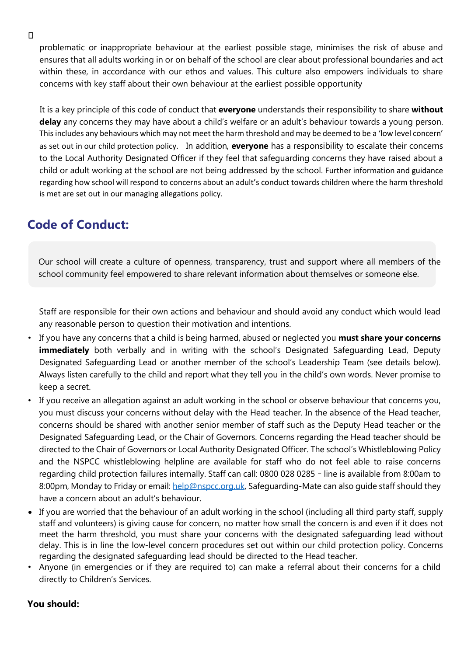problematic or inappropriate behaviour at the earliest possible stage, minimises the risk of abuse and ensures that all adults working in or on behalf of the school are clear about professional boundaries and act within these, in accordance with our ethos and values. This culture also empowers individuals to share concerns with key staff about their own behaviour at the earliest possible opportunity

 It is a key principle of this code of conduct that **everyone** understands their responsibility to share **without delay** any concerns they may have about a child's welfare or an adult's behaviour towards a young person. This includes any behaviours which may not meet the harm threshold and may be deemed to be a 'low level concern' as set out in our child protection policy. In addition, **everyone** has a responsibility to escalate their concerns to the Local Authority Designated Officer if they feel that safeguarding concerns they have raised about a child or adult working at the school are not being addressed by the school. Further information and guidance regarding how school will respond to concerns about an adult's conduct towards children where the harm threshold is met are set out in our managing allegations policy.

## **Code of Conduct:**

Our school will create a culture of openness, transparency, trust and support where all members of the school community feel empowered to share relevant information about themselves or someone else.

Staff are responsible for their own actions and behaviour and should avoid any conduct which would lead any reasonable person to question their motivation and intentions.

- If you have any concerns that a child is being harmed, abused or neglected you **must share your concerns immediately** both verbally and in writing with the school's Designated Safequarding Lead, Deputy Designated Safeguarding Lead or another member of the school's Leadership Team (see details below). Always listen carefully to the child and report what they tell you in the child's own words. Never promise to keep a secret.
- If you receive an allegation against an adult working in the school or observe behaviour that concerns you, you must discuss your concerns without delay with the Head teacher. In the absence of the Head teacher, concerns should be shared with another senior member of staff such as the Deputy Head teacher or the Designated Safeguarding Lead, or the Chair of Governors. Concerns regarding the Head teacher should be directed to the Chair of Governors or Local Authority Designated Officer. The school's Whistleblowing Policy and the NSPCC whistleblowing helpline are available for staff who do not feel able to raise concerns regarding child protection failures internally. Staff can call: 0800 028 0285 – line is available from 8:00am to 8:00pm, Monday to Friday or email[: help@nspcc.org.uk,](mailto:help@nspcc.org.uk) Safeguarding-Mate can also guide staff should they have a concern about an adult's behaviour.
- If you are worried that the behaviour of an adult working in the school (including all third party staff, supply staff and volunteers) is giving cause for concern, no matter how small the concern is and even if it does not meet the harm threshold, you must share your concerns with the designated safeguarding lead without delay. This is in line the low-level concern procedures set out within our child protection policy. Concerns regarding the designated safeguarding lead should be directed to the Head teacher.
- Anyone (in emergencies or if they are required to) can make a referral about their concerns for a child directly to Children's Services.

### **You should:**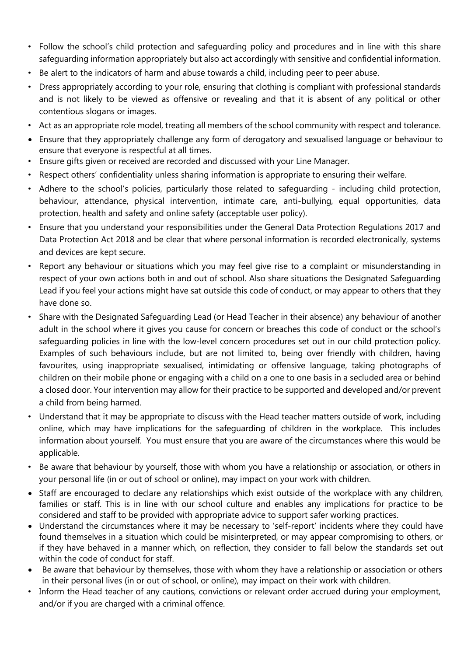- Follow the school's child protection and safeguarding policy and procedures and in line with this share safeguarding information appropriately but also act accordingly with sensitive and confidential information.
- Be alert to the indicators of harm and abuse towards a child, including peer to peer abuse.
- Dress appropriately according to your role, ensuring that clothing is compliant with professional standards and is not likely to be viewed as offensive or revealing and that it is absent of any political or other contentious slogans or images.
- Act as an appropriate role model, treating all members of the school community with respect and tolerance.
- Ensure that they appropriately challenge any form of derogatory and sexualised language or behaviour to ensure that everyone is respectful at all times.
- Ensure gifts given or received are recorded and discussed with your Line Manager.
- Respect others' confidentiality unless sharing information is appropriate to ensuring their welfare.
- Adhere to the school's policies, particularly those related to safeguarding including child protection, behaviour, attendance, physical intervention, intimate care, anti-bullying, equal opportunities, data protection, health and safety and online safety (acceptable user policy).
- Ensure that you understand your responsibilities under the General Data Protection Regulations 2017 and Data Protection Act 2018 and be clear that where personal information is recorded electronically, systems and devices are kept secure.
- Report any behaviour or situations which you may feel give rise to a complaint or misunderstanding in respect of your own actions both in and out of school. Also share situations the Designated Safeguarding Lead if you feel your actions might have sat outside this code of conduct, or may appear to others that they have done so.
- Share with the Designated Safeguarding Lead (or Head Teacher in their absence) any behaviour of another adult in the school where it gives you cause for concern or breaches this code of conduct or the school's safeguarding policies in line with the low-level concern procedures set out in our child protection policy. Examples of such behaviours include, but are not limited to, being over friendly with children, having favourites, using inappropriate sexualised, intimidating or offensive language, taking photographs of children on their mobile phone or engaging with a child on a one to one basis in a secluded area or behind a closed door. Your intervention may allow for their practice to be supported and developed and/or prevent a child from being harmed.
- Understand that it may be appropriate to discuss with the Head teacher matters outside of work, including online, which may have implications for the safeguarding of children in the workplace. This includes information about yourself. You must ensure that you are aware of the circumstances where this would be applicable.
- Be aware that behaviour by yourself, those with whom you have a relationship or association, or others in your personal life (in or out of school or online), may impact on your work with children.
- Staff are encouraged to declare any relationships which exist outside of the workplace with any children, families or staff. This is in line with our school culture and enables any implications for practice to be considered and staff to be provided with appropriate advice to support safer working practices.
- Understand the circumstances where it may be necessary to 'self-report' incidents where they could have found themselves in a situation which could be misinterpreted, or may appear compromising to others, or if they have behaved in a manner which, on reflection, they consider to fall below the standards set out within the code of conduct for staff.
- Be aware that behaviour by themselves, those with whom they have a relationship or association or others in their personal lives (in or out of school, or online), may impact on their work with children.
- Inform the Head teacher of any cautions, convictions or relevant order accrued during your employment, and/or if you are charged with a criminal offence.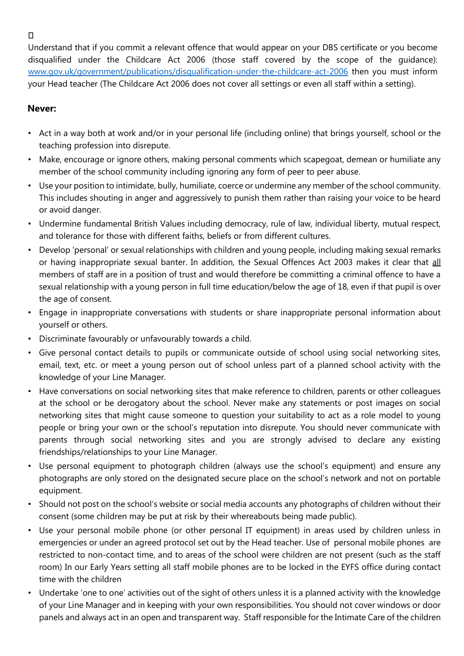$\Box$ 

Understand that if you commit a relevant offence that would appear on your DBS certificate or you become disqualified under the Childcare Act 2006 (those staff covered by the scope of the guidance): [www.gov.uk/government/publications/disqualification-under-the-childcare-act-2006](http://www.gov.uk/government/publications/disqualification-under-the-childcare-act-2006) then you must inform your Head teacher (The Childcare Act 2006 does not cover all settings or even all staff within a setting).

## **Never:**

- Act in a way both at work and/or in your personal life (including online) that brings yourself, school or the teaching profession into disrepute.
- Make, encourage or ignore others, making personal comments which scapegoat, demean or humiliate any member of the school community including ignoring any form of peer to peer abuse.
- Use your position to intimidate, bully, humiliate, coerce or undermine any member of the school community. This includes shouting in anger and aggressively to punish them rather than raising your voice to be heard or avoid danger.
- Undermine fundamental British Values including democracy, rule of law, individual liberty, mutual respect, and tolerance for those with different faiths, beliefs or from different cultures.
- Develop 'personal' or sexual relationships with children and young people, including making sexual remarks or having inappropriate sexual banter. In addition, the Sexual Offences Act 2003 makes it clear that all members of staff are in a position of trust and would therefore be committing a criminal offence to have a sexual relationship with a young person in full time education/below the age of 18, even if that pupil is over the age of consent.
- Engage in inappropriate conversations with students or share inappropriate personal information about yourself or others.
- Discriminate favourably or unfavourably towards a child.
- Give personal contact details to pupils or communicate outside of school using social networking sites, email, text, etc. or meet a young person out of school unless part of a planned school activity with the knowledge of your Line Manager.
- Have conversations on social networking sites that make reference to children, parents or other colleagues at the school or be derogatory about the school. Never make any statements or post images on social networking sites that might cause someone to question your suitability to act as a role model to young people or bring your own or the school's reputation into disrepute. You should never communicate with parents through social networking sites and you are strongly advised to declare any existing friendships/relationships to your Line Manager.
- Use personal equipment to photograph children (always use the school's equipment) and ensure any photographs are only stored on the designated secure place on the school's network and not on portable equipment.
- Should not post on the school's website or social media accounts any photographs of children without their consent (some children may be put at risk by their whereabouts being made public).
- Use your personal mobile phone (or other personal IT equipment) in areas used by children unless in emergencies or under an agreed protocol set out by the Head teacher. Use of personal mobile phones are restricted to non-contact time, and to areas of the school were children are not present (such as the staff room) In our Early Years setting all staff mobile phones are to be locked in the EYFS office during contact time with the children
- Undertake 'one to one' activities out of the sight of others unless it is a planned activity with the knowledge of your Line Manager and in keeping with your own responsibilities. You should not cover windows or door panels and always act in an open and transparent way. Staff responsible for the Intimate Care of the children